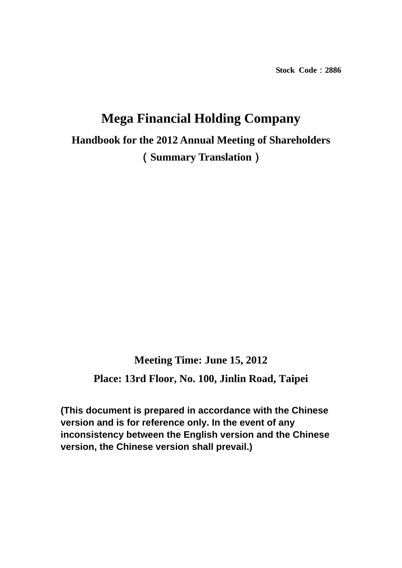**Stock Code**:**2886** 

# **Mega Financial Holding Company**

**Handbook for the 2012 Annual Meeting of Shareholders**  (**Summary Translation**)

**Meeting Time: June 15, 2012 Place: 13rd Floor, No. 100, Jinlin Road, Taipei** 

**(This document is prepared in accordance with the Chinese version and is for reference only. In the event of any inconsistency between the English version and the Chinese version, the Chinese version shall prevail.)**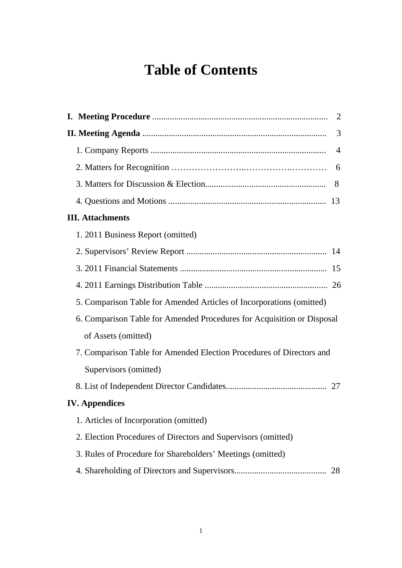## **Table of Contents**

| 2                                                                      |
|------------------------------------------------------------------------|
| 3                                                                      |
| $\overline{4}$                                                         |
| 6                                                                      |
| 8                                                                      |
|                                                                        |
| <b>III.</b> Attachments                                                |
| 1. 2011 Business Report (omitted)                                      |
|                                                                        |
|                                                                        |
|                                                                        |
| 5. Comparison Table for Amended Articles of Incorporations (omitted)   |
| 6. Comparison Table for Amended Procedures for Acquisition or Disposal |
| of Assets (omitted)                                                    |
| 7. Comparison Table for Amended Election Procedures of Directors and   |
| Supervisors (omitted)                                                  |
|                                                                        |
| <b>IV.</b> Appendices                                                  |
| 1. Articles of Incorporation (omitted)                                 |
| 2. Election Procedures of Directors and Supervisors (omitted)          |
| 3. Rules of Procedure for Shareholders' Meetings (omitted)             |
| 28                                                                     |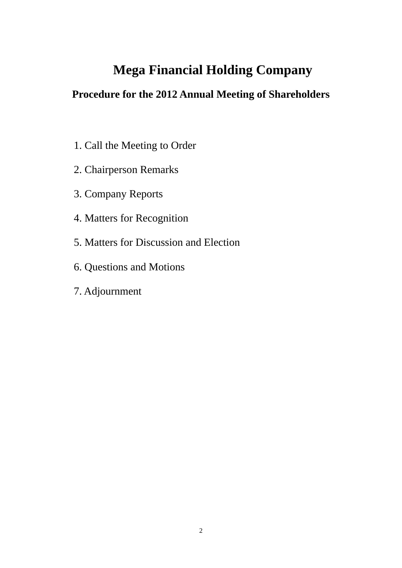## **Mega Financial Holding Company**

## **Procedure for the 2012 Annual Meeting of Shareholders**

- 1. Call the Meeting to Order
- 2. Chairperson Remarks
- 3. Company Reports
- 4. Matters for Recognition
- 5. Matters for Discussion and Election
- 6. Questions and Motions
- 7. Adjournment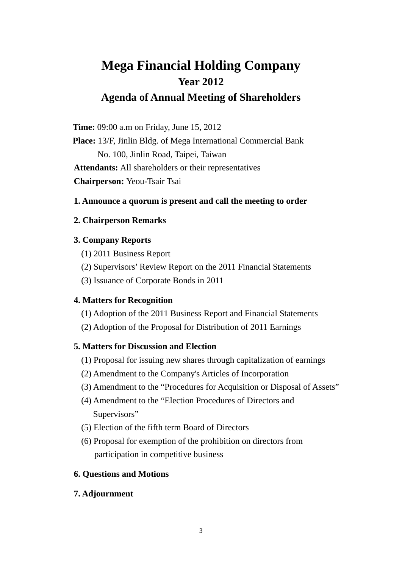## **Mega Financial Holding Company Year 2012 Agenda of Annual Meeting of Shareholders**

**Time:** 09:00 a.m on Friday, June 15, 2012

**Place:** 13/F, Jinlin Bldg. of Mega International Commercial Bank No. 100, Jinlin Road, Taipei, Taiwan **Attendants:** All shareholders or their representatives **Chairperson:** Yeou-Tsair Tsai

#### **1. Announce a quorum is present and call the meeting to order**

#### **2. Chairperson Remarks**

#### **3. Company Reports**

- (1) 2011 Business Report
- (2) Supervisors' Review Report on the 2011 Financial Statements
- (3) Issuance of Corporate Bonds in 2011

#### **4. Matters for Recognition**

- (1) Adoption of the 2011 Business Report and Financial Statements
- (2) Adoption of the Proposal for Distribution of 2011 Earnings

#### **5. Matters for Discussion and Election**

- (1) Proposal for issuing new shares through capitalization of earnings
- (2) Amendment to the Company's Articles of Incorporation
- (3) Amendment to the "Procedures for Acquisition or Disposal of Assets"
- (4) Amendment to the "Election Procedures of Directors and Supervisors"
- (5) Election of the fifth term Board of Directors
- (6) Proposal for exemption of the prohibition on directors from participation in competitive business

#### **6. Questions and Motions**

#### **7. Adjournment**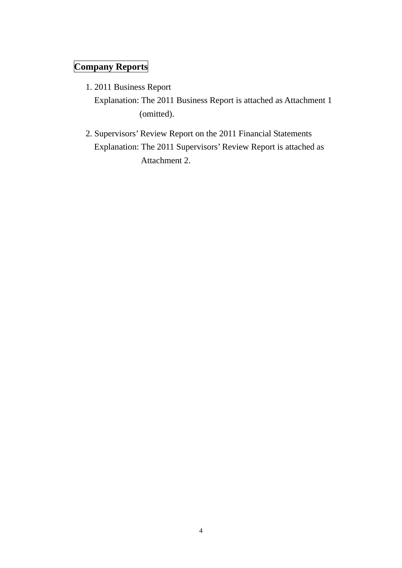## **Company Reports**

1. 2011 Business Report

Explanation: The 2011 Business Report is attached as Attachment 1 (omitted).

2. Supervisors' Review Report on the 2011 Financial Statements Explanation: The 2011 Supervisors' Review Report is attached as Attachment 2.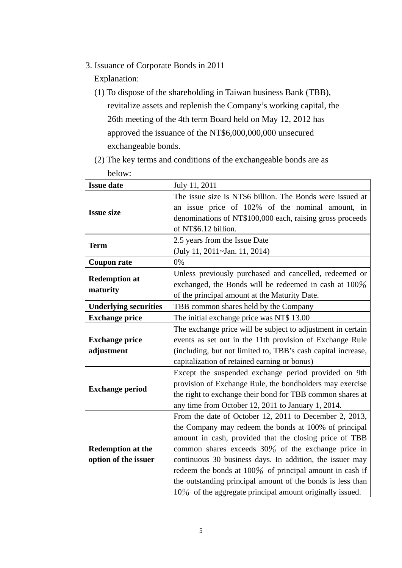3. Issuance of Corporate Bonds in 2011

Explanation:

(1) To dispose of the shareholding in Taiwan business Bank (TBB), revitalize assets and replenish the Company's working capital, the 26th meeting of the 4th term Board held on May 12, 2012 has approved the issuance of the NT\$6,000,000,000 unsecured exchangeable bonds.

| DEIOW.                                           |                                                                                                                                                                                                                                                                                                                                                                                                                                                                                        |  |  |  |  |  |  |  |
|--------------------------------------------------|----------------------------------------------------------------------------------------------------------------------------------------------------------------------------------------------------------------------------------------------------------------------------------------------------------------------------------------------------------------------------------------------------------------------------------------------------------------------------------------|--|--|--|--|--|--|--|
| <b>Issue date</b>                                | July 11, 2011                                                                                                                                                                                                                                                                                                                                                                                                                                                                          |  |  |  |  |  |  |  |
| <b>Issue size</b>                                | The issue size is NT\$6 billion. The Bonds were issued at<br>an issue price of 102% of the nominal amount, in<br>denominations of NT\$100,000 each, raising gross proceeds<br>of NT\$6.12 billion.                                                                                                                                                                                                                                                                                     |  |  |  |  |  |  |  |
| <b>Term</b>                                      | 2.5 years from the Issue Date<br>(July 11, 2011~Jan. 11, 2014)                                                                                                                                                                                                                                                                                                                                                                                                                         |  |  |  |  |  |  |  |
| <b>Coupon rate</b>                               | 0%                                                                                                                                                                                                                                                                                                                                                                                                                                                                                     |  |  |  |  |  |  |  |
| <b>Redemption at</b><br>maturity                 | Unless previously purchased and cancelled, redeemed or<br>exchanged, the Bonds will be redeemed in cash at 100%<br>of the principal amount at the Maturity Date.                                                                                                                                                                                                                                                                                                                       |  |  |  |  |  |  |  |
| <b>Underlying securities</b>                     | TBB common shares held by the Company                                                                                                                                                                                                                                                                                                                                                                                                                                                  |  |  |  |  |  |  |  |
| <b>Exchange price</b>                            | The initial exchange price was NT\$ 13.00                                                                                                                                                                                                                                                                                                                                                                                                                                              |  |  |  |  |  |  |  |
| <b>Exchange price</b><br>adjustment              | The exchange price will be subject to adjustment in certain<br>events as set out in the 11th provision of Exchange Rule<br>(including, but not limited to, TBB's cash capital increase,<br>capitalization of retained earning or bonus)                                                                                                                                                                                                                                                |  |  |  |  |  |  |  |
| <b>Exchange period</b>                           | Except the suspended exchange period provided on 9th<br>provision of Exchange Rule, the bondholders may exercise<br>the right to exchange their bond for TBB common shares at<br>any time from October 12, 2011 to January 1, 2014.                                                                                                                                                                                                                                                    |  |  |  |  |  |  |  |
| <b>Redemption at the</b><br>option of the issuer | From the date of October 12, 2011 to December 2, 2013,<br>the Company may redeem the bonds at 100% of principal<br>amount in cash, provided that the closing price of TBB<br>common shares exceeds $30\%$ of the exchange price in<br>continuous 30 business days. In addition, the issuer may<br>redeem the bonds at $100\%$ of principal amount in cash if<br>the outstanding principal amount of the bonds is less than<br>10% of the aggregate principal amount originally issued. |  |  |  |  |  |  |  |

(2) The key terms and conditions of the exchangeable bonds are as below: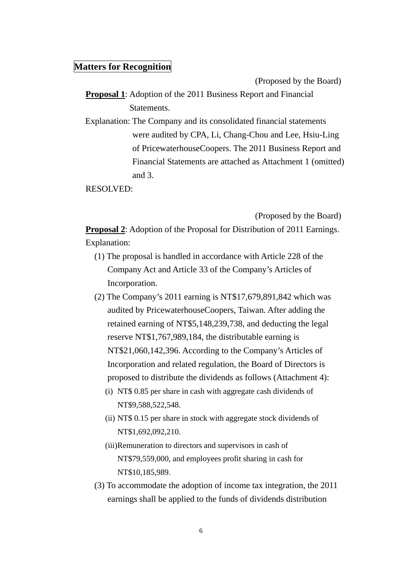### **Matters for Recognition**

(Proposed by the Board)

**Proposal 1**: Adoption of the 2011 Business Report and Financial Statements.

Explanation: The Company and its consolidated financial statements were audited by CPA, Li, Chang-Chou and Lee, Hsiu-Ling of PricewaterhouseCoopers. The 2011 Business Report and Financial Statements are attached as Attachment 1 (omitted) and 3.

RESOLVED:

(Proposed by the Board)

**Proposal 2:** Adoption of the Proposal for Distribution of 2011 Earnings. Explanation:

- (1) The proposal is handled in accordance with Article 228 of the Company Act and Article 33 of the Company's Articles of Incorporation.
- (2) The Company's 2011 earning is NT\$17,679,891,842 which was audited by PricewaterhouseCoopers, Taiwan. After adding the retained earning of NT\$5,148,239,738, and deducting the legal reserve NT\$1,767,989,184, the distributable earning is NT\$21,060,142,396. According to the Company's Articles of Incorporation and related regulation, the Board of Directors is proposed to distribute the dividends as follows (Attachment 4):
	- (i) NT\$ 0.85 per share in cash with aggregate cash dividends of NT\$9,588,522,548.
	- (ii) NT\$ 0.15 per share in stock with aggregate stock dividends of NT\$1,692,092,210.
	- (iii)Remuneration to directors and supervisors in cash of NT\$79,559,000, and employees profit sharing in cash for NT\$10,185,989.
- (3) To accommodate the adoption of income tax integration, the 2011 earnings shall be applied to the funds of dividends distribution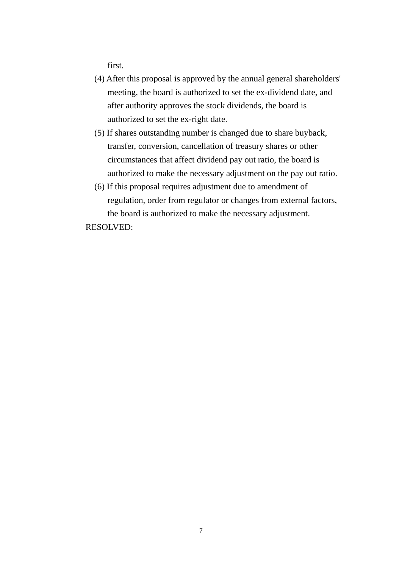first.

- (4) After this proposal is approved by the annual general shareholders' meeting, the board is authorized to set the ex-dividend date, and after authority approves the stock dividends, the board is authorized to set the ex-right date.
- (5) If shares outstanding number is changed due to share buyback, transfer, conversion, cancellation of treasury shares or other circumstances that affect dividend pay out ratio, the board is authorized to make the necessary adjustment on the pay out ratio.
- (6) If this proposal requires adjustment due to amendment of regulation, order from regulator or changes from external factors, the board is authorized to make the necessary adjustment.

RESOLVED: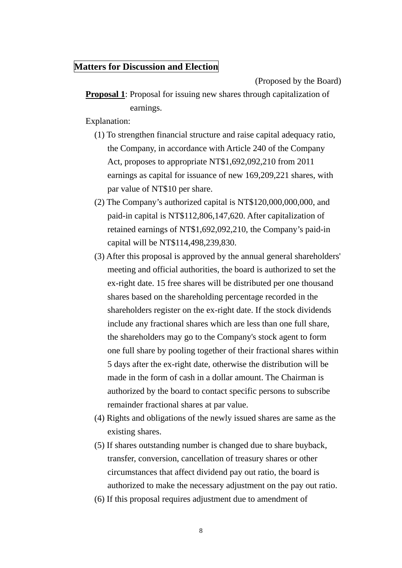### **Matters for Discussion and Election**

(Proposed by the Board)

**Proposal 1**: Proposal for issuing new shares through capitalization of earnings.

Explanation:

- (1) To strengthen financial structure and raise capital adequacy ratio, the Company, in accordance with Article 240 of the Company Act, proposes to appropriate NT\$1,692,092,210 from 2011 earnings as capital for issuance of new 169,209,221 shares, with par value of NT\$10 per share.
- (2) The Company's authorized capital is NT\$120,000,000,000, and paid-in capital is NT\$112,806,147,620. After capitalization of retained earnings of NT\$1,692,092,210, the Company's paid-in capital will be NT\$114,498,239,830.
- (3) After this proposal is approved by the annual general shareholders' meeting and official authorities, the board is authorized to set the ex-right date. 15 free shares will be distributed per one thousand shares based on the shareholding percentage recorded in the shareholders register on the ex-right date. If the stock dividends include any fractional shares which are less than one full share, the shareholders may go to the Company's stock agent to form one full share by pooling together of their fractional shares within 5 days after the ex-right date, otherwise the distribution will be made in the form of cash in a dollar amount. The Chairman is authorized by the board to contact specific persons to subscribe remainder fractional shares at par value.
- (4) Rights and obligations of the newly issued shares are same as the existing shares.
- (5) If shares outstanding number is changed due to share buyback, transfer, conversion, cancellation of treasury shares or other circumstances that affect dividend pay out ratio, the board is authorized to make the necessary adjustment on the pay out ratio.
- (6) If this proposal requires adjustment due to amendment of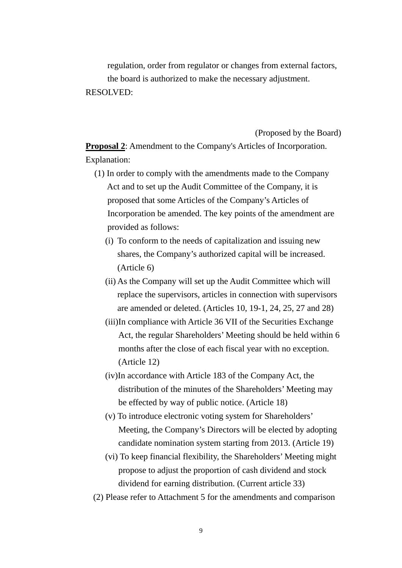regulation, order from regulator or changes from external factors, the board is authorized to make the necessary adjustment. RESOLVED:

(Proposed by the Board)

**Proposal 2**: Amendment to the Company's Articles of Incorporation. Explanation:

- (1) In order to comply with the amendments made to the Company Act and to set up the Audit Committee of the Company, it is proposed that some Articles of the Company's Articles of Incorporation be amended. The key points of the amendment are provided as follows:
	- (i) To conform to the needs of capitalization and issuing new shares, the Company's authorized capital will be increased. (Article 6)
	- (ii) As the Company will set up the Audit Committee which will replace the supervisors, articles in connection with supervisors are amended or deleted. (Articles 10, 19-1, 24, 25, 27 and 28)
	- (iii)In compliance with Article 36 VII of the Securities Exchange Act, the regular Shareholders' Meeting should be held within 6 months after the close of each fiscal year with no exception. (Article 12)
	- (iv)In accordance with Article 183 of the Company Act, the distribution of the minutes of the Shareholders' Meeting may be effected by way of public notice. (Article 18)
	- (v) To introduce electronic voting system for Shareholders' Meeting, the Company's Directors will be elected by adopting candidate nomination system starting from 2013. (Article 19)
	- (vi) To keep financial flexibility, the Shareholders' Meeting might propose to adjust the proportion of cash dividend and stock dividend for earning distribution. (Current article 33)
- (2) Please refer to Attachment 5 for the amendments and comparison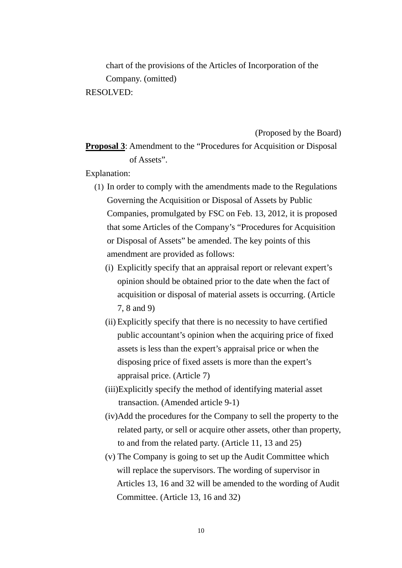chart of the provisions of the Articles of Incorporation of the Company. (omitted)

RESOLVED:

#### (Proposed by the Board)

**Proposal 3**: Amendment to the "Procedures for Acquisition or Disposal of Assets".

Explanation:

- (1) In order to comply with the amendments made to the Regulations Governing the Acquisition or Disposal of Assets by Public Companies, promulgated by FSC on Feb. 13, 2012, it is proposed that some Articles of the Company's "Procedures for Acquisition or Disposal of Assets" be amended. The key points of this amendment are provided as follows:
	- (i) Explicitly specify that an appraisal report or relevant expert's opinion should be obtained prior to the date when the fact of acquisition or disposal of material assets is occurring. (Article 7, 8 and 9)
	- (ii) Explicitly specify that there is no necessity to have certified public accountant's opinion when the acquiring price of fixed assets is less than the expert's appraisal price or when the disposing price of fixed assets is more than the expert's appraisal price. (Article 7)
	- (iii)Explicitly specify the method of identifying material asset transaction. (Amended article 9-1)
	- (iv)Add the procedures for the Company to sell the property to the related party, or sell or acquire other assets, other than property, to and from the related party. (Article 11, 13 and 25)
	- (v) The Company is going to set up the Audit Committee which will replace the supervisors. The wording of supervisor in Articles 13, 16 and 32 will be amended to the wording of Audit Committee. (Article 13, 16 and 32)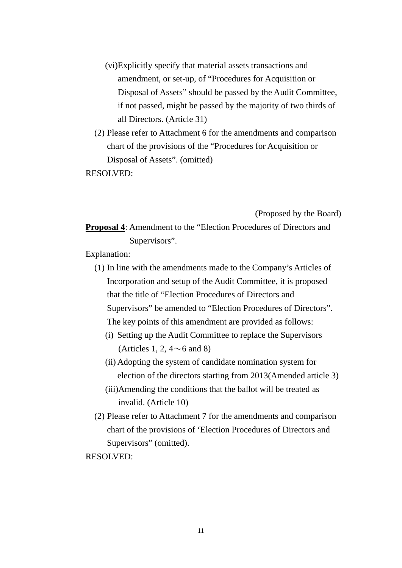- (vi)Explicitly specify that material assets transactions and amendment, or set-up, of "Procedures for Acquisition or Disposal of Assets" should be passed by the Audit Committee, if not passed, might be passed by the majority of two thirds of all Directors. (Article 31)
- (2) Please refer to Attachment 6 for the amendments and comparison chart of the provisions of the "Procedures for Acquisition or Disposal of Assets". (omitted)

RESOLVED:

(Proposed by the Board)

**Proposal 4**: Amendment to the "Election Procedures of Directors and Supervisors".

Explanation:

- (1) In line with the amendments made to the Company's Articles of Incorporation and setup of the Audit Committee, it is proposed that the title of "Election Procedures of Directors and Supervisors" be amended to "Election Procedures of Directors". The key points of this amendment are provided as follows:
	- (i) Setting up the Audit Committee to replace the Supervisors (Articles 1, 2,  $4 \sim 6$  and 8)
	- (ii) Adopting the system of candidate nomination system for election of the directors starting from 2013(Amended article 3)
	- (iii)Amending the conditions that the ballot will be treated as invalid. (Article 10)
- (2) Please refer to Attachment 7 for the amendments and comparison chart of the provisions of 'Election Procedures of Directors and Supervisors" (omitted).

RESOLVED: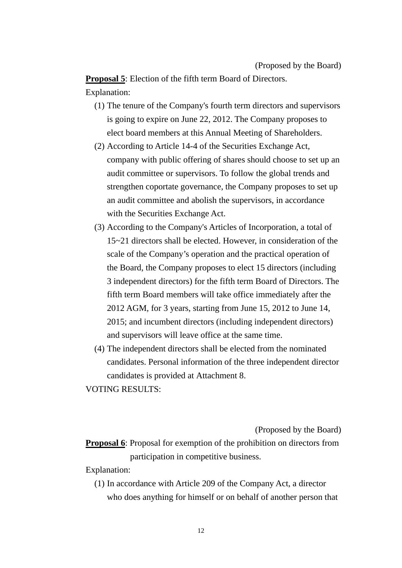**Proposal 5**: Election of the fifth term Board of Directors.

- Explanation:
	- (1) The tenure of the Company's fourth term directors and supervisors is going to expire on June 22, 2012. The Company proposes to elect board members at this Annual Meeting of Shareholders.
	- (2) According to Article 14-4 of the Securities Exchange Act, company with public offering of shares should choose to set up an audit committee or supervisors. To follow the global trends and strengthen coportate governance, the Company proposes to set up an audit committee and abolish the supervisors, in accordance with the Securities Exchange Act.
	- (3) According to the Company's Articles of Incorporation, a total of 15~21 directors shall be elected. However, in consideration of the scale of the Company's operation and the practical operation of the Board, the Company proposes to elect 15 directors (including 3 independent directors) for the fifth term Board of Directors. The fifth term Board members will take office immediately after the 2012 AGM, for 3 years, starting from June 15, 2012 to June 14, 2015; and incumbent directors (including independent directors) and supervisors will leave office at the same time.
	- (4) The independent directors shall be elected from the nominated candidates. Personal information of the three independent director candidates is provided at Attachment 8.

VOTING RESULTS:

(Proposed by the Board)

**Proposal 6**: Proposal for exemption of the prohibition on directors from participation in competitive business.

Explanation:

(1) In accordance with Article 209 of the Company Act, a director who does anything for himself or on behalf of another person that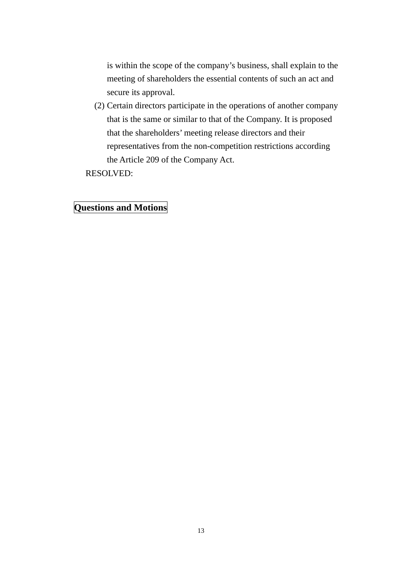is within the scope of the company's business, shall explain to the meeting of shareholders the essential contents of such an act and secure its approval.

(2) Certain directors participate in the operations of another company that is the same or similar to that of the Company. It is proposed that the shareholders' meeting release directors and their representatives from the non-competition restrictions according the Article 209 of the Company Act.

RESOLVED:

### **Questions and Motions**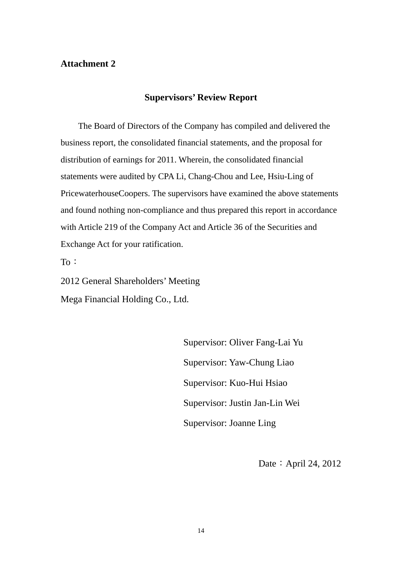### **Attachment 2**

### **Supervisors' Review Report**

 The Board of Directors of the Company has compiled and delivered the business report, the consolidated financial statements, and the proposal for distribution of earnings for 2011. Wherein, the consolidated financial statements were audited by CPA Li, Chang-Chou and Lee, Hsiu-Ling of PricewaterhouseCoopers. The supervisors have examined the above statements and found nothing non-compliance and thus prepared this report in accordance with Article 219 of the Company Act and Article 36 of the Securities and Exchange Act for your ratification.

To:

2012 General Shareholders' Meeting Mega Financial Holding Co., Ltd.

> Supervisor: Oliver Fang-Lai Yu Supervisor: Yaw-Chung Liao Supervisor: Kuo-Hui Hsiao Supervisor: Justin Jan-Lin Wei Supervisor: Joanne Ling

> > Date: April 24, 2012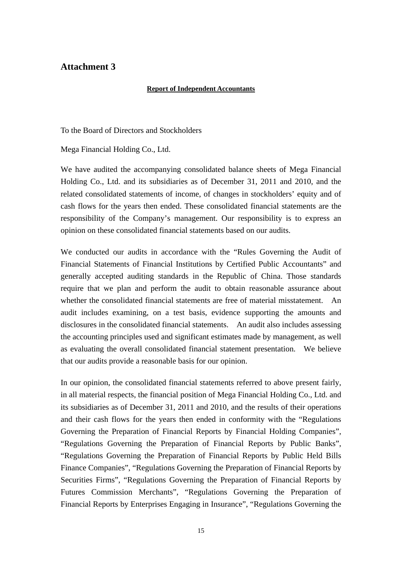### **Attachment 3**

#### **Report of Independent Accountants**

To the Board of Directors and Stockholders

Mega Financial Holding Co., Ltd.

We have audited the accompanying consolidated balance sheets of Mega Financial Holding Co., Ltd. and its subsidiaries as of December 31, 2011 and 2010, and the related consolidated statements of income, of changes in stockholders' equity and of cash flows for the years then ended. These consolidated financial statements are the responsibility of the Company's management. Our responsibility is to express an opinion on these consolidated financial statements based on our audits.

We conducted our audits in accordance with the "Rules Governing the Audit of Financial Statements of Financial Institutions by Certified Public Accountants" and generally accepted auditing standards in the Republic of China. Those standards require that we plan and perform the audit to obtain reasonable assurance about whether the consolidated financial statements are free of material misstatement. An audit includes examining, on a test basis, evidence supporting the amounts and disclosures in the consolidated financial statements. An audit also includes assessing the accounting principles used and significant estimates made by management, as well as evaluating the overall consolidated financial statement presentation. We believe that our audits provide a reasonable basis for our opinion.

In our opinion, the consolidated financial statements referred to above present fairly, in all material respects, the financial position of Mega Financial Holding Co., Ltd. and its subsidiaries as of December 31, 2011 and 2010, and the results of their operations and their cash flows for the years then ended in conformity with the "Regulations Governing the Preparation of Financial Reports by Financial Holding Companies", "Regulations Governing the Preparation of Financial Reports by Public Banks", "Regulations Governing the Preparation of Financial Reports by Public Held Bills Finance Companies", "Regulations Governing the Preparation of Financial Reports by Securities Firms", "Regulations Governing the Preparation of Financial Reports by Futures Commission Merchants", "Regulations Governing the Preparation of Financial Reports by Enterprises Engaging in Insurance", "Regulations Governing the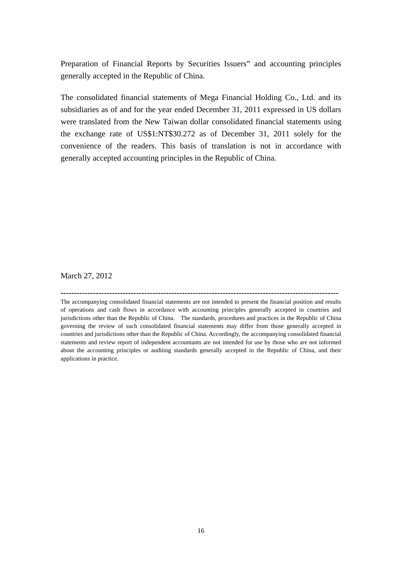Preparation of Financial Reports by Securities Issuers" and accounting principles generally accepted in the Republic of China.

The consolidated financial statements of Mega Financial Holding Co., Ltd. and its subsidiaries as of and for the year ended December 31, 2011 expressed in US dollars were translated from the New Taiwan dollar consolidated financial statements using the exchange rate of US\$1:NT\$30.272 as of December 31, 2011 solely for the convenience of the readers. This basis of translation is not in accordance with generally accepted accounting principles in the Republic of China.

March 27, 2012

The accompanying consolidated financial statements are not intended to present the financial position and results of operations and cash flows in accordance with accounting principles generally accepted in countries and jurisdictions other than the Republic of China. The standards, procedures and practices in the Republic of China governing the review of such consolidated financial statements may differ from those generally accepted in countries and jurisdictions other than the Republic of China. Accordingly, the accompanying consolidated financial statements and review report of independent accountants are not intended for use by those who are not informed about the accounting principles or auditing standards generally accepted in the Republic of China, and their applications in practice.

**-------------------------------------------------------------------------------------------------------**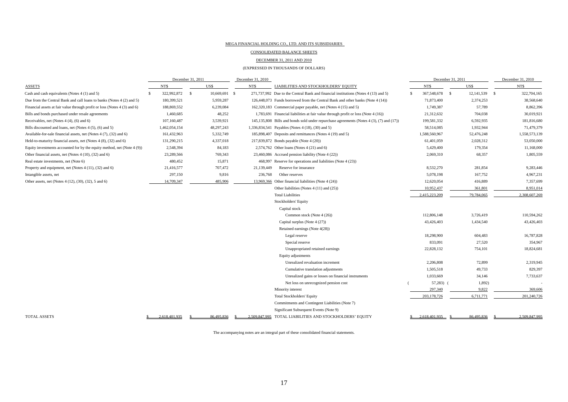#### MEGA FINANCIAL HOLDING CO., LTD. AND ITS SUBSIDIARIES

CONSOLIDATED BALANCE SHEETS

#### DECEMBER 31, 2011 AND 2010

#### (EXPRESSED IN THOUSANDS OF DOLLARS)

|                                                                           |               | December 31, 2011 | December 31, 2010 |                                                                                          |   | December 31, 2011 | December 31, 2010     |  |               |
|---------------------------------------------------------------------------|---------------|-------------------|-------------------|------------------------------------------------------------------------------------------|---|-------------------|-----------------------|--|---------------|
| ASSETS                                                                    | NT\$          | US\$              | NT\$              | LIABILITIES AND STOCKHOLDERS' EQUITY                                                     |   | NT\$              | US\$                  |  | NT\$          |
| Cash and cash equivalents (Notes 4 (1) and 5)                             | 322,992,872   | 10,669,691<br>-8  | - \$              | 271,737,992 Due to the Central Bank and financial institutions (Notes 4 (13) and 5)      | S | 367,548,678       | 12,141,539 \$<br>- \$ |  | 322,704,165   |
| Due from the Central Bank and call loans to banks (Notes 4 (2) and 5)     | 180,399,521   | 5,959,287         |                   | 126,448,073 Funds borrowed from the Central Bank and other banks (Note 4 (14))           |   | 71,873,400        | 2,374,253             |  | 38,568,640    |
| Financial assets at fair value through profit or loss (Notes 4 (3) and 6) | 188,869,552   | 6,239,084         |                   | 162,320,183 Commercial paper payable, net (Notes 4 (15) and 5)                           |   | 1,749,387         | 57,789                |  | 8,862,396     |
| Bills and bonds purchased under resale agreements                         | 1,460,685     | 48,252            |                   | 1,783,691 Financial liabilities at fair value through profit or loss (Note 4 (16))       |   | 21,312,632        | 704,038               |  | 30,019,921    |
| Receivables, net (Notes 4 (4), (6) and 6)                                 | 107,160,487   | 3,539,921         |                   | 145,135,808 Bills and bonds sold under repurchase agreements (Notes 4 (3), (7) and (17)) |   | 199,581,332       | 6,592,935             |  | 181,816,680   |
| Bills discounted and loans, net (Notes 4 (5), (6) and 5)                  | 1,462,054,154 | 48,297,243        |                   | 1,336,834,541 Payables (Notes 4 (18), (30) and 5)                                        |   | 58,514,085        | 1,932,944             |  | 71,479,379    |
| Available-for-sale financial assets, net (Notes 4 (7), (32) and 6)        | 161,432,963   | 5,332,749         |                   | 185,898,407 Deposits and remittances (Notes 4 (19) and 5)                                |   | 1,588,560,967     | 52,476,248            |  | 1,558,573,139 |
| Held-to-maturity financial assets, net (Notes 4 (8), (32) and 6)          | 131,290,215   | 4,337,018         |                   | 217,839,872 Bonds payable (Note 4 (20))                                                  |   | 61,401,059        | 2,028,312             |  | 53,050,000    |
| Equity investments accounted for by the equity method, net (Note 4 (9))   | 2,548,394     | 84,183            |                   | 2,574,762 Other loans (Notes 4 (21) and 6)                                               |   | 5,429,400         | 179,354               |  | 11,168,000    |
| Other financial assets, net (Notes 4 (10), (32) and 6)                    | 23,289,566    | 769,343           |                   | 23,460,086 Accrued pension liability (Note 4 (22))                                       |   | 2,069,310         | 68,357                |  | 1,805,559     |
| Real estate investments, net (Note 6)                                     | 480,452       | 15,871            |                   | 468,997 Reserve for operations and liabilities (Note 4 (23))                             |   |                   |                       |  |               |
| Property and equipment, net (Notes 4 (11), (32) and 6)                    | 21,416,577    | 707,472           | 21,139,449        | Reserve for insurance                                                                    |   | 8,532,270         | 281,854               |  | 9,283,446     |
| Intangible assets, net                                                    | 297,150       | 9,816             | 236,768           | Other reserves                                                                           |   | 5,078,198         | 167,752               |  | 4,967,231     |
| Other assets, net (Notes 4 (12), (30), (32), 5 and 6)                     | 14,709,347    | 485,906           |                   | 13,969,366 Other financial liabilities (Note 4 (24))                                     |   | 12,620,054        | 416,889               |  | 7,357,699     |
|                                                                           |               |                   |                   | Other liabilities (Notes 4 (11) and (25))                                                |   | 10,952,437        | 361,801               |  | 8,951,014     |
|                                                                           |               |                   |                   | <b>Total Liabilities</b>                                                                 |   | 2,415,223,209     | 79,784,065            |  | 2.308.607.269 |
|                                                                           |               |                   |                   | <b>Stockholders' Equity</b>                                                              |   |                   |                       |  |               |
|                                                                           |               |                   |                   | Capital stock                                                                            |   |                   |                       |  |               |
|                                                                           |               |                   |                   | Common stock (Note 4 (26))                                                               |   | 112,806,148       | 3,726,419             |  | 110,594,262   |
|                                                                           |               |                   |                   | Capital surplus (Note 4 (27))                                                            |   | 43,426,403        | 1,434,540             |  | 43,426,403    |
|                                                                           |               |                   |                   | Retained earnings (Note 4(28))                                                           |   |                   |                       |  |               |
|                                                                           |               |                   |                   | Legal reserve                                                                            |   | 18,298,900        | 604,483               |  | 16,787,828    |
|                                                                           |               |                   |                   | Special reserve                                                                          |   | 833,091           | 27,520                |  | 354,967       |
|                                                                           |               |                   |                   | Unappropriated retained earnings                                                         |   | 22,828,132        | 754,101               |  | 18,824,681    |
|                                                                           |               |                   |                   | Equity adjustments                                                                       |   |                   |                       |  |               |
|                                                                           |               |                   |                   | Unrealized revaluation increment                                                         |   | 2,206,808         | 72,899                |  | 2,319,945     |
|                                                                           |               |                   |                   | Cumulative translation adjustments                                                       |   | 1,505,518         | 49,733                |  | 829,397       |
|                                                                           |               |                   |                   | Unrealized gains or losses on financial instruments                                      |   | 1,033,669         | 34,146                |  | 7,733,637     |
|                                                                           |               |                   |                   | Net loss on unrecognized pension cost                                                    |   | $57,283$ (        | 1,892)                |  |               |
|                                                                           |               |                   |                   | Minority interest                                                                        |   | 297,340           | 9,822                 |  | 369,606       |
|                                                                           |               |                   |                   | <b>Total Stockholders' Equity</b>                                                        |   | 203,178,726       | 6,711,771             |  | 201,240,726   |
|                                                                           |               |                   |                   | Commitments and Contingent Liabilities (Note 7)                                          |   |                   |                       |  |               |
|                                                                           |               |                   |                   | Significant Subsequent Events (Note 9)                                                   |   |                   |                       |  |               |
| TOTAL ASSETS                                                              | 2.618.401.935 | 86.495.836        | 2.509.847.995     | TOTAL LIABILITIES AND STOCKHOLDERS' EQUITY                                               |   | 2.618.401.935     | 86,495,836            |  | 2.509.847.995 |

The accompanying notes are an integral part of these consolidated financial statements.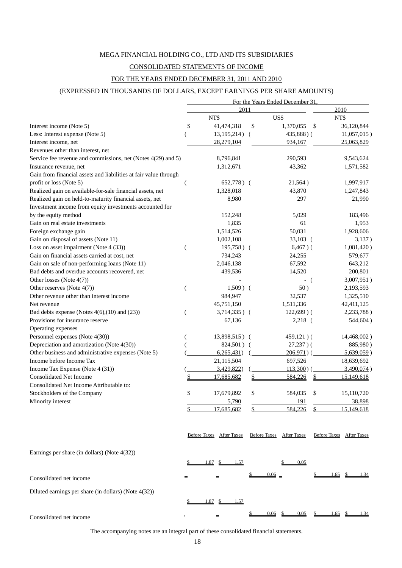#### MEGA FINANCIAL HOLDING CO., LTD AND ITS SUBSIDIARIES

#### CONSOLIDATED STATEMENTS OF INCOME

#### FOR THE YEARS ENDED DECEMBER 31, 2011 AND 2010

#### (EXPRESSED IN THOUSANDS OF DOLLARS, EXCEPT EARNINGS PER SHARE AMOUNTS)

|                                                                  |    | For the Years Ended December 31, |                          |                          |
|------------------------------------------------------------------|----|----------------------------------|--------------------------|--------------------------|
|                                                                  |    | 2011                             | 2010                     |                          |
|                                                                  |    | NT\$                             | US\$                     | NT\$                     |
| Interest income (Note 5)                                         | S  | 41,474,318                       | \$<br>1,370,055          | \$<br>36,120,844         |
| Less: Interest expense (Note 5)                                  |    | 13, 195, 214)                    | $435,888$ ) (            | $11,057,015$ )           |
| Interest income, net                                             |    | 28,279,104                       | 934,167                  | 25,063,829               |
| Revenues other than interest, net                                |    |                                  |                          |                          |
| Service fee revenue and commissions, net (Notes 4(29) and 5)     |    | 8,796,841                        | 290,593                  | 9,543,624                |
| Insurance revenue, net                                           |    | 1,312,671                        | 43,362                   | 1,571,582                |
| Gain from financial assets and liabilities at fair value through |    |                                  |                          |                          |
| profit or loss (Note 5)                                          |    | $652,778$ ) (                    | 21,564)                  | 1,997,917                |
| Realized gain on available-for-sale financial assets, net        |    | 1,328,018                        | 43,870                   | 1,247,843                |
| Realized gain on held-to-maturity financial assets, net          |    | 8,980                            | 297                      | 21,990                   |
| Investment income from equity investments accounted for          |    |                                  |                          |                          |
| by the equity method                                             |    | 152,248                          | 5,029                    | 183,496                  |
| Gain on real estate investments                                  |    | 1,835                            | 61                       | 1,953                    |
| Foreign exchange gain                                            |    | 1,514,526                        | 50,031                   | 1,928,606                |
| Gain on disposal of assets (Note 11)                             |    | 1,002,108                        | $33,103$ (               | 3,137)                   |
| Loss on asset impairment (Note 4 (33))                           |    | $195,758$ ) (                    | $6,467$ )(               | 1,081,420)               |
| Gain on financial assets carried at cost, net                    |    | 734,243                          | 24,255                   | 579,677                  |
| Gain on sale of non-performing loans (Note 11)                   |    | 2,046,138                        | 67,592                   | 643,212                  |
| Bad debts and overdue accounts recovered, net                    |    | 439,536                          | 14,520                   | 200,801                  |
| Other losses (Note 4(7))                                         |    |                                  | - (                      | 3,007,951)               |
| Other reserves (Note 4(7))                                       |    | $1,509$ ) (                      | 50)                      | 2,193,593                |
| Other revenue other than interest income                         |    | 984,947                          | 32,537                   | 1,325,510                |
| Net revenue                                                      |    | 45,751,150                       | 1,511,336                | 42,411,125               |
| Bad debts expense (Notes $4(6)$ , (10) and (23))                 |    | $3,714,335)$ (                   | $122,699$ ) (            | 2,233,788)               |
| Provisions for insurance reserve                                 |    | 67,136                           | $2,218$ (                | 544,604)                 |
| Operating expenses                                               |    |                                  |                          |                          |
| Personnel expenses (Note 4(30))                                  |    | 13,898,515) (                    | $459,121)$ (             | 14,468,002)              |
| Depreciation and amortization (Note 4(30))                       |    | 824,501) (                       | $27,237$ )(              | 885,980)                 |
| Other business and administrative expenses (Note 5)              |    | 6,265,431)                       | $206,971$ ) (            | $5,639,059$ )            |
| Income before Income Tax                                         |    | 21,115,504                       | 697,526                  | 18,639,692               |
| Income Tax Expense (Note 4 (31))                                 |    | 3,429,822                        | $113,300$ ) (            | 3,490,074)               |
| <b>Consolidated Net Income</b>                                   |    | 17,685,682                       | 584,226                  | 15,149,618               |
| Consolidated Net Income Attributable to:                         |    |                                  |                          |                          |
| Stockholders of the Company                                      | \$ | 17,679,892                       | \$<br>584,035            | \$<br>15,110,720         |
| Minority interest                                                |    | 5,790                            | 191                      | 38,898                   |
|                                                                  |    | 17,685,682                       | 584,226                  | \$<br>15.149.618         |
|                                                                  |    | Before Taxes After Taxes         | Before Taxes After Taxes | Before Taxes After Taxes |
|                                                                  |    |                                  |                          |                          |
| Earnings per share (in dollars) (Note $4(32)$ )                  |    |                                  |                          |                          |
|                                                                  |    | $1.87$ \$ $1.57$                 | 0.05                     |                          |
| Consolidated net income                                          |    |                                  | $0.06 =$                 | $1.65$ \$<br>1.34        |
| Diluted earnings per share (in dollars) (Note 4(32))             |    |                                  |                          |                          |
|                                                                  |    | 1.87<br>1.57                     |                          |                          |
| Consolidated net income                                          |    |                                  | 0.06<br>0.05             | <u>1.65 \$</u><br>1.34   |

The accompanying notes are an integral part of these consolidated financial statements.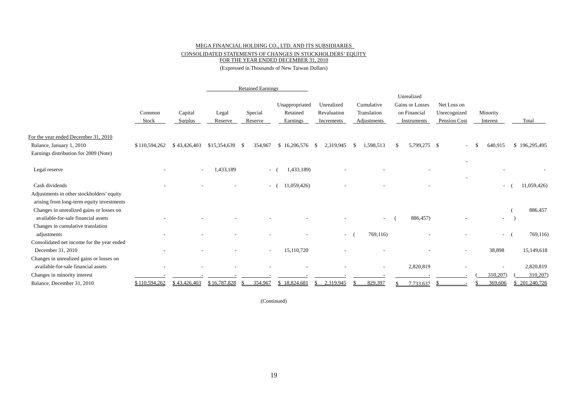#### MEGA FINANCIAL HOLDING CO., LTD. AND ITS SUBSIDIARIES CONSOLIDATED STATEMENTS OF CHANGES IN STOCKHOLDERS' EQUITY FOR THE YEAR ENDED DECEMBER 31, 2010

(Expressed in Thousands of New Taiwan Dollars)

|                                                                                        |                 |                    |                  | <b>Retained Earnings</b> |                                        |                                         |                                          |                                                              |                                             |                      |               |
|----------------------------------------------------------------------------------------|-----------------|--------------------|------------------|--------------------------|----------------------------------------|-----------------------------------------|------------------------------------------|--------------------------------------------------------------|---------------------------------------------|----------------------|---------------|
|                                                                                        | Common<br>Stock | Capital<br>Surplus | Legal<br>Reserve | Special<br>Reserve       | Unappropriated<br>Retained<br>Earnings | Unrealized<br>Revaluation<br>Increments | Cumulative<br>Translation<br>Adjustments | Unrealized<br>Gains or Losses<br>on Financial<br>Instruments | Net Loss on<br>Unrecognized<br>Pension Cost | Minority<br>Interest | Total         |
| For the year ended December 31, 2010<br>Balance, January 1, 2010                       | \$110,594,262   | \$43,426,403       | \$15,354,639     | 354,967<br>- \$          | $$16,206,576$ \;                       | 2,319,945                               | 1,598,513<br><sup>S</sup>                | 5,799,275 \$<br>S.                                           |                                             | 640,915              | \$196,295,495 |
| Earnings distribution for 2009 (Note)                                                  |                 |                    |                  |                          |                                        |                                         |                                          |                                                              |                                             |                      |               |
| Legal reserve                                                                          |                 |                    | 1,433,189        |                          | 1,433,189)<br>$-$ (                    |                                         |                                          |                                                              |                                             |                      |               |
| Cash dividends                                                                         |                 |                    |                  |                          | 11,059,426)<br>$-$ (                   |                                         |                                          |                                                              |                                             | $\sim$               | 11,059,426)   |
| Adjustments in other stockholders' equity<br>arising from long-term equity investments |                 |                    |                  |                          |                                        |                                         |                                          |                                                              |                                             |                      |               |
| Changes in unrealized gains or losses on                                               |                 |                    |                  |                          |                                        |                                         |                                          |                                                              |                                             |                      | 886,457       |
| available-for-sale financial assets                                                    |                 |                    |                  |                          |                                        |                                         |                                          | 886,457)                                                     |                                             | $\sim$               |               |
| Changes in cumulative translation                                                      |                 |                    |                  |                          |                                        |                                         |                                          |                                                              |                                             |                      |               |
| adjustments<br>Consolidated net income for the year ended                              |                 |                    |                  |                          |                                        | $\sim$                                  | 769,116)                                 |                                                              |                                             | $\overline{a}$       | 769,116)      |
| December 31, 2010                                                                      |                 |                    |                  | $\overline{\phantom{a}}$ | 15,110,720                             |                                         |                                          |                                                              |                                             | 38,898               | 15,149,618    |
| Changes in unrealized gains or losses on                                               |                 |                    |                  |                          |                                        |                                         |                                          |                                                              |                                             |                      |               |
| available-for-sale financial assets                                                    |                 |                    |                  |                          |                                        |                                         |                                          | 2,820,819                                                    |                                             |                      | 2,820,819     |
| Changes in minority interest                                                           |                 |                    |                  |                          |                                        |                                         |                                          |                                                              |                                             | 310,207)             | 310,207)      |
| Balance, December 31, 2010                                                             | \$110,594,262   | \$43,426,403       | \$16,787,828     | 354,967                  | \$18,824,681                           | 2,319,945                               | 829,397                                  | 7,733,637                                                    |                                             | 369,606              | 201,240,726   |

(Continued)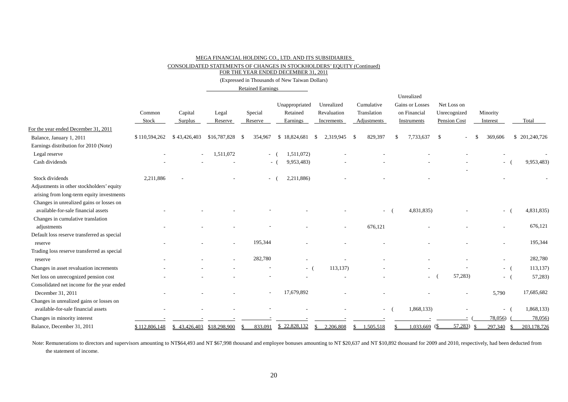#### MEGA FINANCIAL HOLDING CO., LTD. AND ITS SUBSIDIARIES

CONSOLIDATED STATEMENTS OF CHANGES IN STOCKHOLDERS' EQUITY (Continued)

FOR THE YEAR ENDED DECEMBER 31, 2011

(Expressed in Thousands of New Taiwan Dollars)

Retained Earnings

|                                                                                        |               |                           |              |         |                          |                |                           |      |             | Unrealized      |                         |          |                          |               |
|----------------------------------------------------------------------------------------|---------------|---------------------------|--------------|---------|--------------------------|----------------|---------------------------|------|-------------|-----------------|-------------------------|----------|--------------------------|---------------|
|                                                                                        |               |                           |              |         |                          | Unappropriated | Unrealized                |      | Cumulative  | Gains or Losses | Net Loss on             |          |                          |               |
|                                                                                        | Common        | Capital                   | Legal        | Special |                          | Retained       | Revaluation               |      | Translation | on Financial    | Unrecognized            | Minority |                          |               |
|                                                                                        | Stock         | Surplus                   | Reserve      | Reserve |                          | Earnings       | Increments                |      | Adjustments | Instruments     | Pension Cost            | Interest |                          | Total         |
| For the year ended December 31, 2011                                                   |               |                           |              |         |                          |                |                           |      |             |                 |                         |          |                          |               |
| Balance, January 1, 2011                                                               | \$110,594,262 | \$43,426,403              | \$16,787,828 | -9      | 354,967                  | \$18,824,681   | 2,319,945<br>-S           | - \$ | 829,397     | 7,733,637       | -\$                     |          | 369,606                  | \$201,240,726 |
| Earnings distribution for 2010 (Note)                                                  |               |                           |              |         |                          |                |                           |      |             |                 |                         |          |                          |               |
| Legal reserve                                                                          |               |                           | 1,511,072    |         | $ \sqrt{ }$              | 1,511,072)     |                           |      |             |                 |                         |          |                          |               |
| Cash dividends                                                                         |               |                           |              |         | $\sim$ $-$               | 9,953,483)     |                           |      |             |                 |                         |          | $\sim$ 10 $\pm$          | 9,953,483)    |
| Stock dividends                                                                        | 2,211,886     |                           |              |         |                          | 2,211,886)     |                           |      |             |                 |                         |          |                          |               |
| Adjustments in other stockholders' equity<br>arising from long-term equity investments |               |                           |              |         |                          |                |                           |      |             |                 |                         |          |                          |               |
| Changes in unrealized gains or losses on                                               |               |                           |              |         |                          |                |                           |      |             |                 |                         |          |                          |               |
| available-for-sale financial assets                                                    |               |                           |              |         |                          |                |                           |      |             | 4,831,835)      |                         |          | $\overline{\phantom{a}}$ | 4,831,835)    |
| Changes in cumulative translation                                                      |               |                           |              |         |                          |                |                           |      |             |                 |                         |          |                          |               |
| adjustments                                                                            |               |                           |              |         |                          |                |                           |      | 676,121     |                 |                         |          |                          | 676,121       |
| Default loss reserve transferred as special                                            |               |                           |              |         |                          |                |                           |      |             |                 |                         |          |                          |               |
| reserve                                                                                |               |                           |              |         | 195,344                  |                |                           |      |             |                 |                         |          |                          | 195,344       |
| Trading loss reserve transferred as special                                            |               |                           |              |         |                          |                |                           |      |             |                 |                         |          |                          |               |
| reserve                                                                                |               |                           |              |         | 282,780                  |                |                           |      |             |                 |                         |          | $\overline{\phantom{a}}$ | 282,780       |
| Changes in asset revaluation increments                                                |               |                           |              |         |                          | $-$ (          | 113,137)                  |      |             |                 |                         |          | $-$ (                    | 113, 137      |
| Net loss on unrecognized pension cost                                                  |               |                           |              |         |                          |                |                           |      |             | ٠               | 57,283)                 |          | - 1                      | 57,283)       |
| Consolidated net income for the year ended                                             |               |                           |              |         |                          |                |                           |      |             |                 |                         |          |                          |               |
| December 31, 2011                                                                      |               |                           |              |         | $\overline{\phantom{a}}$ | 17,679,892     |                           |      |             |                 |                         |          | 5,790                    | 17,685,682    |
| Changes in unrealized gains or losses on                                               |               |                           |              |         |                          |                |                           |      |             |                 |                         |          |                          |               |
| available-for-sale financial assets                                                    |               |                           |              |         |                          |                |                           |      | $\sim$      | 1,868,133)      |                         |          | $ -$                     | 1,868,133)    |
| Changes in minority interest                                                           |               |                           |              |         |                          |                |                           |      |             |                 |                         |          | 78,056)                  | 78,056)       |
| Balance, December 31, 2011                                                             | \$112,806,148 | \$43,426,403 \$18,298,900 |              |         | 833,091                  | \$22,828,132   | 2,206,808<br><sup>S</sup> | \$   | 1,505,518   | 1,033,669       | 57,283<br>$\frac{1}{2}$ | -S       | 297,340<br>-S            | 203,178,726   |

Note: Remunerations to directors and supervisors amounting to NT\$64,493 and NT \$67,998 thousand and employee bonuses amounting to NT \$20,637 and NT \$10,892 thousand for 2009 and 2010, respectively, had been deducted from the statement of income.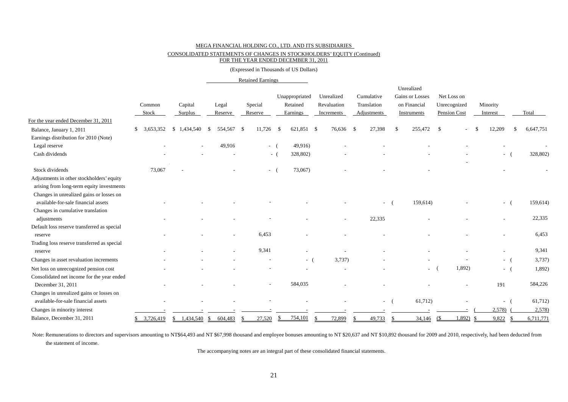#### MEGA FINANCIAL HOLDING CO., LTD. AND ITS SUBSIDIARIES CONSOLIDATED STATEMENTS OF CHANGES IN STOCKHOLDERS' EQUITY (Continued)

#### FOR THE YEAR ENDED DECEMBER 31, 2011

#### (Expressed in Thousands of US Dollars)

|                                             |                 |                    |                  | <b>Retained Earnings</b> |                                        |                                         |                                          |        |                                                              |                                             |                      |                          |           |
|---------------------------------------------|-----------------|--------------------|------------------|--------------------------|----------------------------------------|-----------------------------------------|------------------------------------------|--------|--------------------------------------------------------------|---------------------------------------------|----------------------|--------------------------|-----------|
|                                             | Common<br>Stock | Capital<br>Surplus | Legal<br>Reserve | Special<br>Reserve       | Unappropriated<br>Retained<br>Earnings | Unrealized<br>Revaluation<br>Increments | Cumulative<br>Translation<br>Adjustments |        | Unrealized<br>Gains or Losses<br>on Financial<br>Instruments | Net Loss on<br>Unrecognized<br>Pension Cost | Minority<br>Interest |                          | Total     |
| For the year ended December 31, 2011        |                 |                    |                  |                          |                                        |                                         |                                          |        |                                                              |                                             |                      |                          |           |
| Balance, January 1, 2011                    | 3,653,352<br>\$ | \$1,434,540        | 554,567<br>-S    | 11,726<br>- \$           | 621,851 \$<br>-\$                      | 76,636 \$                               | 27,398                                   | -\$    | 255,472                                                      | -\$                                         | 12,209               |                          | 6,647,751 |
| Earnings distribution for 2010 (Note)       |                 |                    |                  |                          |                                        |                                         |                                          |        |                                                              |                                             |                      |                          |           |
| Legal reserve                               |                 |                    | 49,916           |                          | 49,916)<br>$-$ (                       |                                         |                                          |        |                                                              |                                             |                      |                          |           |
| Cash dividends                              |                 |                    |                  |                          | 328,802)<br>$-$ (                      |                                         |                                          |        |                                                              |                                             |                      | $\overline{\phantom{a}}$ | 328,802)  |
| Stock dividends                             | 73,067          |                    |                  | $\sim$                   | 73,067)                                |                                         |                                          |        |                                                              |                                             |                      |                          |           |
| Adjustments in other stockholders' equity   |                 |                    |                  |                          |                                        |                                         |                                          |        |                                                              |                                             |                      |                          |           |
| arising from long-term equity investments   |                 |                    |                  |                          |                                        |                                         |                                          |        |                                                              |                                             |                      |                          |           |
| Changes in unrealized gains or losses on    |                 |                    |                  |                          |                                        |                                         |                                          |        |                                                              |                                             |                      |                          |           |
| available-for-sale financial assets         |                 |                    |                  |                          |                                        |                                         |                                          | $\sim$ | 159,614)                                                     |                                             |                      | - 1                      | 159,614)  |
| Changes in cumulative translation           |                 |                    |                  |                          |                                        |                                         |                                          |        |                                                              |                                             |                      |                          |           |
| adjustments                                 |                 |                    |                  |                          |                                        |                                         | 22,335                                   |        |                                                              |                                             |                      |                          | 22,335    |
| Default loss reserve transferred as special |                 |                    |                  |                          |                                        |                                         |                                          |        |                                                              |                                             |                      |                          |           |
| reserve                                     |                 |                    | ٠                | 6.453                    |                                        |                                         |                                          |        |                                                              |                                             |                      |                          | 6,453     |
| Trading loss reserve transferred as special |                 |                    |                  |                          |                                        |                                         |                                          |        |                                                              |                                             |                      |                          |           |
| reserve                                     |                 |                    |                  | 9,341                    |                                        |                                         |                                          |        |                                                              |                                             |                      |                          | 9,341     |
| Changes in asset revaluation increments     |                 |                    |                  |                          | $-$ (                                  | 3,737                                   |                                          |        |                                                              |                                             |                      | - (                      | 3,737     |
| Net loss on unrecognized pension cost       |                 |                    |                  |                          |                                        |                                         |                                          |        | $\sim$                                                       | 1,892)                                      |                      | $-$ (                    | 1,892)    |
| Consolidated net income for the year ended  |                 |                    |                  |                          |                                        |                                         |                                          |        |                                                              |                                             |                      |                          |           |
| December 31, 2011                           |                 |                    |                  |                          | 584,035                                |                                         |                                          |        |                                                              |                                             | 191                  |                          | 584,226   |
| Changes in unrealized gains or losses on    |                 |                    |                  |                          |                                        |                                         |                                          |        |                                                              |                                             |                      |                          |           |
| available-for-sale financial assets         |                 |                    |                  |                          |                                        |                                         |                                          | $\sim$ | 61,712)                                                      |                                             |                      | - 1                      | 61,712)   |
| Changes in minority interest                |                 |                    |                  |                          |                                        |                                         |                                          |        |                                                              |                                             | 2,578)               |                          | 2,578     |
| Balance, December 31, 2011                  |                 | $1,434,540$ \$     | 604,483          | 27,520<br>-8             | 754,101<br>- S                         | 72,899<br>¢                             | 49,733<br>-8                             | -\$    | $34,146$ (\$                                                 | $1,892$ \$                                  | 9,822                | - \$                     | 6,711,771 |

Note: Remunerations to directors and supervisors amounting to NT\$64,493 and NT \$67,998 thousand and employee bonuses amounting to NT \$20,637 and NT \$10,892 thousand for 2009 and 2010, respectively, had been deducted from the statement of income.

The accompanying notes are an integral part of these consolidated financial statements.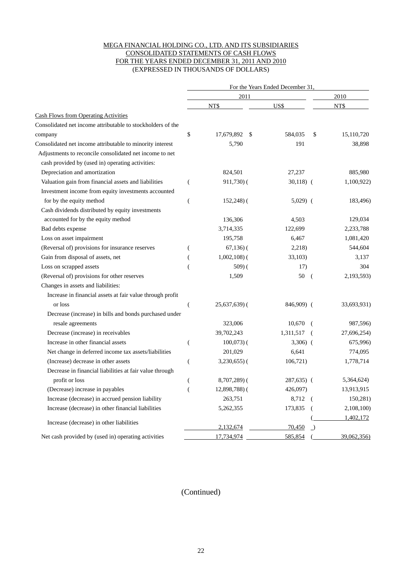#### MEGA FINANCIAL HOLDING CO., LTD. AND ITS SUBSIDIARIES CONSOLIDATED STATEMENTS OF CASH FLOWS FOR THE YEARS ENDED DECEMBER 31, 2011 AND 2010 (EXPRESSED IN THOUSANDS OF DOLLARS)

|                                                             | For the Years Ended December 31 |                  |                      |             |  |  |  |  |  |
|-------------------------------------------------------------|---------------------------------|------------------|----------------------|-------------|--|--|--|--|--|
|                                                             |                                 | 2011             |                      | 2010        |  |  |  |  |  |
|                                                             |                                 | NT\$             | US\$                 | NT\$        |  |  |  |  |  |
| <b>Cash Flows from Operating Activities</b>                 |                                 |                  |                      |             |  |  |  |  |  |
| Consolidated net income attributable to stockholders of the |                                 |                  |                      |             |  |  |  |  |  |
| company                                                     | \$                              | 17,679,892<br>\$ | 584,035<br>\$        | 15,110,720  |  |  |  |  |  |
| Consolidated net income attributable to minority interest   |                                 | 5,790            | 191                  | 38,898      |  |  |  |  |  |
| Adjustments to reconcile consolidated net income to net     |                                 |                  |                      |             |  |  |  |  |  |
| cash provided by (used in) operating activities:            |                                 |                  |                      |             |  |  |  |  |  |
| Depreciation and amortization                               |                                 | 824,501          | 27,237               | 885,980     |  |  |  |  |  |
| Valuation gain from financial assets and liabilities        |                                 | 911,730) (       | $30,118)$ (          | 1,100,922)  |  |  |  |  |  |
| Investment income from equity investments accounted         |                                 |                  |                      |             |  |  |  |  |  |
| for by the equity method                                    | (                               | $152,248$ ) (    | $5,029$ (            | 183,496)    |  |  |  |  |  |
| Cash dividends distributed by equity investments            |                                 |                  |                      |             |  |  |  |  |  |
| accounted for by the equity method                          |                                 | 136,306          | 4,503                | 129,034     |  |  |  |  |  |
| Bad debts expense                                           |                                 | 3,714,335        | 122,699              | 2,233,788   |  |  |  |  |  |
| Loss on asset impairment                                    |                                 | 195,758          | 6,467                | 1,081,420   |  |  |  |  |  |
| (Reversal of) provisions for insurance reserves             | (                               | $67,136$ ) (     | 2,218)               | 544,604     |  |  |  |  |  |
| Gain from disposal of assets, net                           | $\overline{\phantom{a}}$        | $1,002,108$ $($  | 33,103)              | 3,137       |  |  |  |  |  |
| Loss on scrapped assets                                     |                                 | 509(             | 17)                  | 304         |  |  |  |  |  |
| (Reversal of) provisions for other reserves                 |                                 | 1,509            | 50<br>- (            | 2,193,593)  |  |  |  |  |  |
| Changes in assets and liabilities:                          |                                 |                  |                      |             |  |  |  |  |  |
| Increase in financial assets at fair value through profit   |                                 |                  |                      |             |  |  |  |  |  |
| or loss                                                     |                                 | $25,637,639$ (   | 846,909) (           | 33,693,931) |  |  |  |  |  |
| Decrease (increase) in bills and bonds purchased under      |                                 |                  |                      |             |  |  |  |  |  |
| resale agreements                                           |                                 | 323,006          | 10,670<br>$\sqrt{2}$ | 987,596)    |  |  |  |  |  |
| Decrease (increase) in receivables                          |                                 | 39,702,243       | 1,311,517            | 27,696,254) |  |  |  |  |  |
| Increase in other financial assets                          |                                 | $100,073$ ) (    | $3,306)$ (           | 675,996)    |  |  |  |  |  |
| Net change in deferred income tax assets/liabilities        |                                 | 201,029          | 6,641                | 774,095     |  |  |  |  |  |
| (Increase) decrease in other assets                         |                                 | $3,230,655$ ) (  | 106,721)             | 1,778,714   |  |  |  |  |  |
| Decrease in financial liabilities at fair value through     |                                 |                  |                      |             |  |  |  |  |  |
| profit or loss                                              |                                 | $8,707,289$ (    | 287,635) (           | 5,364,624)  |  |  |  |  |  |
| (Decrease) increase in payables                             | $\overline{(}$                  | 12,898,788)(     | 426,097)             | 13,913,915  |  |  |  |  |  |
| Increase (decrease) in accrued pension liability            |                                 | 263,751          | 8,712                | 150,281)    |  |  |  |  |  |
| Increase (decrease) in other financial liabilities          |                                 | 5,262,355        | 173,835              | 2,108,100)  |  |  |  |  |  |
|                                                             |                                 |                  |                      | 1,402,172   |  |  |  |  |  |
| Increase (decrease) in other liabilities                    |                                 | 2,132,674        | 70,450               |             |  |  |  |  |  |
| Net cash provided by (used in) operating activities         |                                 | 17,734,974       | 585,854              | 39,062,356) |  |  |  |  |  |

### (Continued)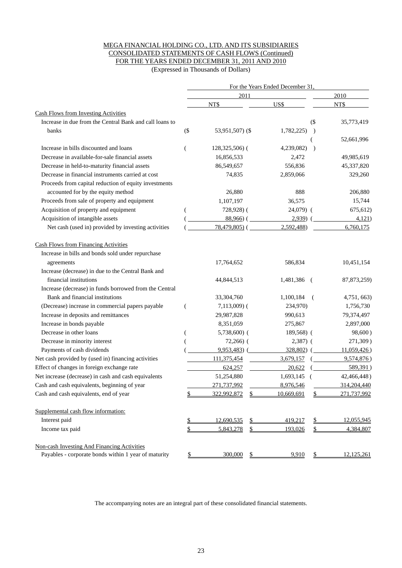#### MEGA FINANCIAL HOLDING CO., LTD. AND ITS SUBSIDIARIES CONSOLIDATED STATEMENTS OF CASH FLOWS (Continued) FOR THE YEARS ENDED DECEMBER 31, 2011 AND 2010

(Expressed in Thousands of Dollars)

|                                                         |        |                   | For the Years Ended December 31. |               |               |  |  |  |  |
|---------------------------------------------------------|--------|-------------------|----------------------------------|---------------|---------------|--|--|--|--|
|                                                         |        | 2011              |                                  |               | 2010          |  |  |  |  |
|                                                         |        | NT\$              | US\$                             |               | NT\$          |  |  |  |  |
| <b>Cash Flows from Investing Activities</b>             |        |                   |                                  |               |               |  |  |  |  |
| Increase in due from the Central Bank and call loans to |        |                   |                                  | $($ \$        | 35,773,419    |  |  |  |  |
| banks                                                   | $($ \$ | 53,951,507) (\$   | 1,782,225)                       | $\lambda$     |               |  |  |  |  |
|                                                         |        |                   |                                  |               | 52,661,996    |  |  |  |  |
| Increase in bills discounted and loans                  | (      | 128,325,506) (    | 4,239,082)                       | $\rightarrow$ |               |  |  |  |  |
| Decrease in available-for-sale financial assets         |        | 16,856,533        | 2,472                            |               | 49,985,619    |  |  |  |  |
| Decrease in held-to-maturity financial assets           |        | 86,549,657        | 556,836                          |               | 45,337,820    |  |  |  |  |
| Decrease in financial instruments carried at cost       |        | 74,835            | 2,859,066                        |               | 329,260       |  |  |  |  |
| Proceeds from capital reduction of equity investments   |        |                   |                                  |               |               |  |  |  |  |
| accounted for by the equity method                      |        | 26,880            | 888                              |               | 206,880       |  |  |  |  |
| Proceeds from sale of property and equipment            |        | 1,107,197         | 36,575                           |               | 15,744        |  |  |  |  |
| Acquisition of property and equipment                   |        | 728,928) (        | $24,079$ (                       |               | 675,612)      |  |  |  |  |
| Acquisition of intangible assets                        |        | $88,966$ ) (      | $2,939$ (                        |               | 4,121         |  |  |  |  |
| Net cash (used in) provided by investing activities     |        | $78,479,805$ (    | 2,592,488)                       |               | 6,760,175     |  |  |  |  |
| <b>Cash Flows from Financing Activities</b>             |        |                   |                                  |               |               |  |  |  |  |
| Increase in bills and bonds sold under repurchase       |        |                   |                                  |               |               |  |  |  |  |
| agreements                                              |        | 17,764,652        | 586,834                          |               | 10,451,154    |  |  |  |  |
| Increase (decrease) in due to the Central Bank and      |        |                   |                                  |               |               |  |  |  |  |
| financial institutions                                  |        | 44,844,513        | 1,481,386                        | - (           | 87, 873, 259) |  |  |  |  |
| Increase (decrease) in funds borrowed from the Central  |        |                   |                                  |               |               |  |  |  |  |
| Bank and financial institutions                         |        | 33,304,760        | 1,100,184                        |               | 4,751, 663)   |  |  |  |  |
| (Decrease) increase in commercial papers payable        | €      | $7,113,009$ (     | 234,970)                         |               | 1,756,730     |  |  |  |  |
| Increase in deposits and remittances                    |        | 29,987,828        | 990,613                          |               | 79,374,497    |  |  |  |  |
| Increase in bonds payable                               |        | 8,351,059         | 275,867                          |               | 2,897,000     |  |  |  |  |
| Decrease in other loans                                 | €      | $5,738,600$ (     | 189,568) (                       |               | 98,600)       |  |  |  |  |
| Decrease in minority interest                           |        | $72,266$ ) (      | $2,387)$ (                       |               | 271,309)      |  |  |  |  |
| Payments of cash dividends                              |        | 9,953,483)        | 328,802)                         |               | 11,059,426    |  |  |  |  |
| Net cash provided by (used in) financing activities     |        | 111,375,454       | 3,679,157                        |               | 9,574,876)    |  |  |  |  |
| Effect of changes in foreign exchange rate              |        | 624,257           | 20,622                           |               | 589,391)      |  |  |  |  |
| Net increase (decrease) in cash and cash equivalents    |        | 51,254,880        | 1,693,145                        |               | 42,466,448)   |  |  |  |  |
| Cash and cash equivalents, beginning of year            |        | 271,737,992       | 8,976,546                        |               | 314.204.440   |  |  |  |  |
| Cash and cash equivalents, end of year                  | \$     | 322,992,872<br>\$ | 10,669,691                       | \$            | 271,737,992   |  |  |  |  |
| Supplemental cash flow information:                     |        |                   |                                  |               |               |  |  |  |  |
| Interest paid                                           | \$     | 12,690,535        | 419,217                          | \$            | 12,055,945    |  |  |  |  |
| Income tax paid                                         | \$     | \$<br>5,843,278   | 193,026                          | \$            | 4,384,807     |  |  |  |  |
| Non-cash Investing And Financing Activities             |        |                   |                                  |               |               |  |  |  |  |
| Payables - corporate bonds within 1 year of maturity    | \$     | 300,000<br>\$     | 9,910                            | \$            | 12,125,261    |  |  |  |  |

The accompanying notes are an integral part of these consolidated financial statements.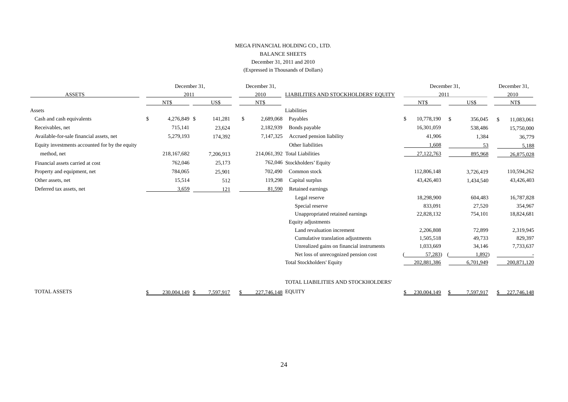#### MEGA FINANCIAL HOLDING CO., LTD. BALANCE SHEETS December 31, 2011 and 2010 (Expressed in Thousands of Dollars)

|                                                | December 31,       |           |   | December 31, |                                           |    |               | December 31, |           |    | December 31,  |
|------------------------------------------------|--------------------|-----------|---|--------------|-------------------------------------------|----|---------------|--------------|-----------|----|---------------|
| <b>ASSETS</b>                                  | 2011               |           |   | 2010         | LIABILITIES AND STOCKHOLDERS' EQUITY      |    |               | 2011         |           |    | 2010          |
|                                                | NT\$               | US\$      |   | NT\$         |                                           |    | NT\$          |              | US\$      |    | NT\$          |
| Assets                                         |                    |           |   |              | Liabilities                               |    |               |              |           |    |               |
| Cash and cash equivalents                      | \$<br>4,276,849 \$ | 141,281   | S | 2,689,068    | Payables                                  | \$ | 10,778,190 \$ |              | 356,045   | -S | 11,083,061    |
| Receivables, net                               | 715,141            | 23,624    |   | 2,182,939    | Bonds payable                             |    | 16,301,059    |              | 538,486   |    | 15,750,000    |
| Available-for-sale financial assets, net       | 5,279,193          | 174,392   |   | 7,147,325    | Accrued pension liability                 |    | 41,906        |              | 1,384     |    | 36,779        |
| Equity investments accounted for by the equity |                    |           |   |              | Other liabilities                         |    | 1,608         |              | 53        |    | 5,188         |
| method, net                                    | 218, 167, 682      | 7,206,913 |   |              | 214,061,392 Total Liabilities             |    | 27,122,763    |              | 895,968   |    | 26,875,028    |
| Financial assets carried at cost               | 762,046            | 25,173    |   |              | 762,046 Stockholders' Equity              |    |               |              |           |    |               |
| Property and equipment, net                    | 784,065            | 25,901    |   | 702,490      | Common stock                              |    | 112,806,148   |              | 3,726,419 |    | 110,594,262   |
| Other assets, net                              | 15,514             | 512       |   | 119,298      | Capital surplus                           |    | 43,426,403    |              | 1,434,540 |    | 43,426,403    |
| Deferred tax assets, net                       | 3,659              | 121       |   | 81,590       | Retained earnings                         |    |               |              |           |    |               |
|                                                |                    |           |   |              | Legal reserve                             |    | 18,298,900    |              | 604,483   |    | 16,787,828    |
|                                                |                    |           |   |              | Special reserve                           |    | 833,091       |              | 27,520    |    | 354,967       |
|                                                |                    |           |   |              | Unappropriated retained earnings          |    | 22,828,132    |              | 754,101   |    | 18,824,681    |
|                                                |                    |           |   |              | Equity adjustments                        |    |               |              |           |    |               |
|                                                |                    |           |   |              | Land revaluation increment                |    | 2,206,808     |              | 72,899    |    | 2,319,945     |
|                                                |                    |           |   |              | Cumulative translation adjustments        |    | 1,505,518     |              | 49,733    |    | 829,397       |
|                                                |                    |           |   |              | Unrealized gains on financial instruments |    | 1,033,669     |              | 34,146    |    | 7,733,637     |
|                                                |                    |           |   |              | Net loss of unrecognized pension cost     |    | 57,283)       |              | 1,892)    |    |               |
|                                                |                    |           |   |              | Total Stockholders' Equity                |    | 202,881,386   |              | 6,701,949 |    | 200, 871, 120 |
|                                                |                    |           |   |              |                                           |    |               |              |           |    |               |
|                                                |                    |           |   |              | TOTAL LIABILITIES AND STOCKHOLDERS'       |    |               |              |           |    |               |

TOTAL ASSETS \$ 230,004,149 \$ 7,597,917 \$ 227,746,148

 $\frac{$230,004,149}{$}$   $\frac{$7,597,917}{$}$   $\frac{$227,746,148}{}$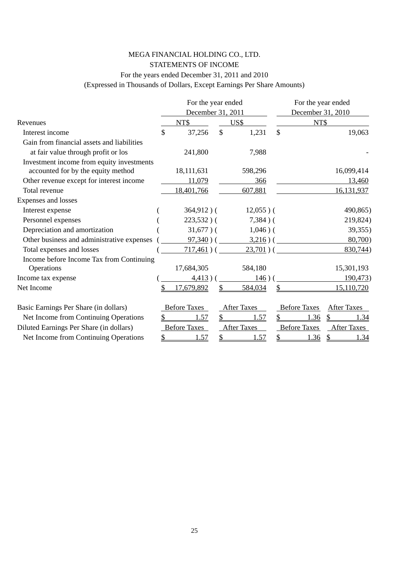### MEGA FINANCIAL HOLDING CO., LTD. STATEMENTS OF INCOME For the years ended December 31, 2011 and 2010

(Expressed in Thousands of Dollars, Except Earnings Per Share Amounts)

|                                            | For the year ended  |               |                    |                           | For the year ended  |                    |
|--------------------------------------------|---------------------|---------------|--------------------|---------------------------|---------------------|--------------------|
|                                            | December 31, 2011   |               |                    |                           | December 31, 2010   |                    |
| Revenues                                   | NT\$                |               | US\$               |                           | NT\$                |                    |
| Interest income                            | \$<br>37,256        | $\mathcal{S}$ | 1,231              | $\boldsymbol{\mathsf{S}}$ |                     | 19,063             |
| Gain from financial assets and liabilities |                     |               |                    |                           |                     |                    |
| at fair value through profit or los        | 241,800             |               | 7,988              |                           |                     |                    |
| Investment income from equity investments  |                     |               |                    |                           |                     |                    |
| accounted for by the equity method         | 18,111,631          |               | 598,296            |                           |                     | 16,099,414         |
| Other revenue except for interest income   | 11,079              |               | 366                |                           |                     | 13,460             |
| Total revenue                              | 18,401,766          |               | 607,881            |                           |                     | 16,131,937         |
| Expenses and losses                        |                     |               |                    |                           |                     |                    |
| Interest expense                           | $364,912$ )(        |               | $12,055$ )(        |                           |                     | 490,865)           |
| Personnel expenses                         | $223,532)$ (        |               | $7,384$ ) (        |                           |                     | 219,824)           |
| Depreciation and amortization              | $31,677$ )(         |               | $1,046$ ) (        |                           |                     | 39,355)            |
| Other business and administrative expenses | $97,340)$ (         |               | $3,216)$ (         |                           |                     | 80,700             |
| Total expenses and losses                  | $717,461$ ) (       |               | $23,701)$ (        |                           |                     | 830,744)           |
| Income before Income Tax from Continuing   |                     |               |                    |                           |                     |                    |
| Operations                                 | 17,684,305          |               | 584,180            |                           |                     | 15,301,193         |
| Income tax expense                         | 4,413)              |               | 146                |                           |                     | 190,473            |
| Net Income                                 | 17,679,892          |               | 584,034            |                           |                     | 15,110,720         |
| Basic Earnings Per Share (in dollars)      | <b>Before Taxes</b> |               | <b>After Taxes</b> |                           | <b>Before Taxes</b> | <b>After Taxes</b> |
| Net Income from Continuing Operations      | .57                 | \$            | 1.57               |                           | 1.36                | 1.34               |
| Diluted Earnings Per Share (in dollars)    | <b>Before Taxes</b> |               | <b>After Taxes</b> |                           | <b>Before Taxes</b> | <b>After Taxes</b> |
| Net Income from Continuing Operations      | 1.57                | \$            | 1.57               | \$                        | <u>1.36</u>         | 1.34               |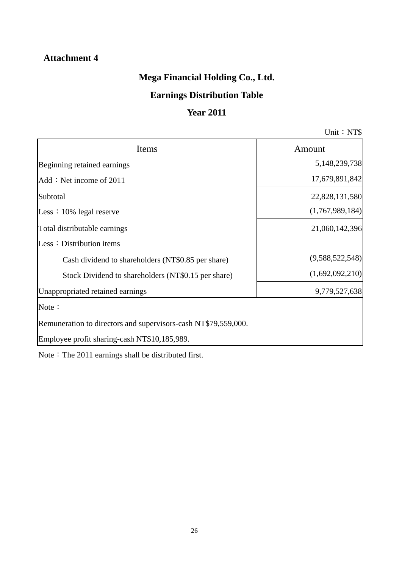### **Attachment 4**

## **Mega Financial Holding Co., Ltd.**

## **Earnings Distribution Table**

### **Year 2011**

Unit: NT\$

| Items                                                          | Amount          |
|----------------------------------------------------------------|-----------------|
| Beginning retained earnings                                    | 5,148,239,738   |
| Add: Net income of 2011                                        | 17,679,891,842  |
| Subtotal                                                       | 22,828,131,580  |
| Less: 10% legal reserve                                        | (1,767,989,184) |
| Total distributable earnings                                   | 21,060,142,396  |
| Less: Distribution items                                       |                 |
| Cash dividend to shareholders (NT\$0.85 per share)             | (9,588,522,548) |
| Stock Dividend to shareholders (NT\$0.15 per share)            | (1,692,092,210) |
| Unappropriated retained earnings                               | 9,779,527,638   |
| Note:                                                          |                 |
| Remuneration to directors and supervisors-cash NT\$79,559,000. |                 |
| Employee profit sharing-cash NT\$10,185,989.                   |                 |

Note: The 2011 earnings shall be distributed first.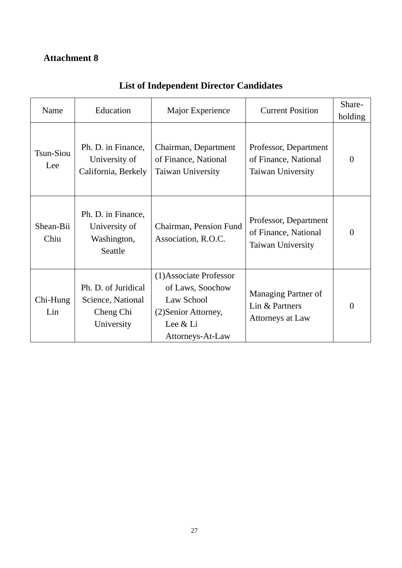## **Attachment 8**

| Name                    | Education                                                           | Major Experience                                                                                                  | <b>Current Position</b>                                                   | Share-<br>holding |
|-------------------------|---------------------------------------------------------------------|-------------------------------------------------------------------------------------------------------------------|---------------------------------------------------------------------------|-------------------|
| <b>Tsun-Siou</b><br>Lee | Ph. D. in Finance,<br>University of<br>California, Berkely          | Chairman, Department<br>of Finance, National<br>Taiwan University                                                 | Professor, Department<br>of Finance, National<br><b>Taiwan University</b> | $\theta$          |
| Shean-Bii<br>Chiu       | Ph. D. in Finance,<br>University of<br>Washington,<br>Seattle       | Chairman, Pension Fund<br>Association, R.O.C.                                                                     | Professor, Department<br>of Finance, National<br><b>Taiwan University</b> | $\theta$          |
| Chi-Hung<br>Lin         | Ph. D. of Juridical<br>Science, National<br>Cheng Chi<br>University | (1) Associate Professor<br>of Laws, Soochow<br>Law School<br>(2) Senior Attorney,<br>Lee & Li<br>Attorneys-At-Law | <b>Managing Partner of</b><br>Lin & Partners<br>Attorneys at Law          | $\theta$          |

## **List of Independent Director Candidates**